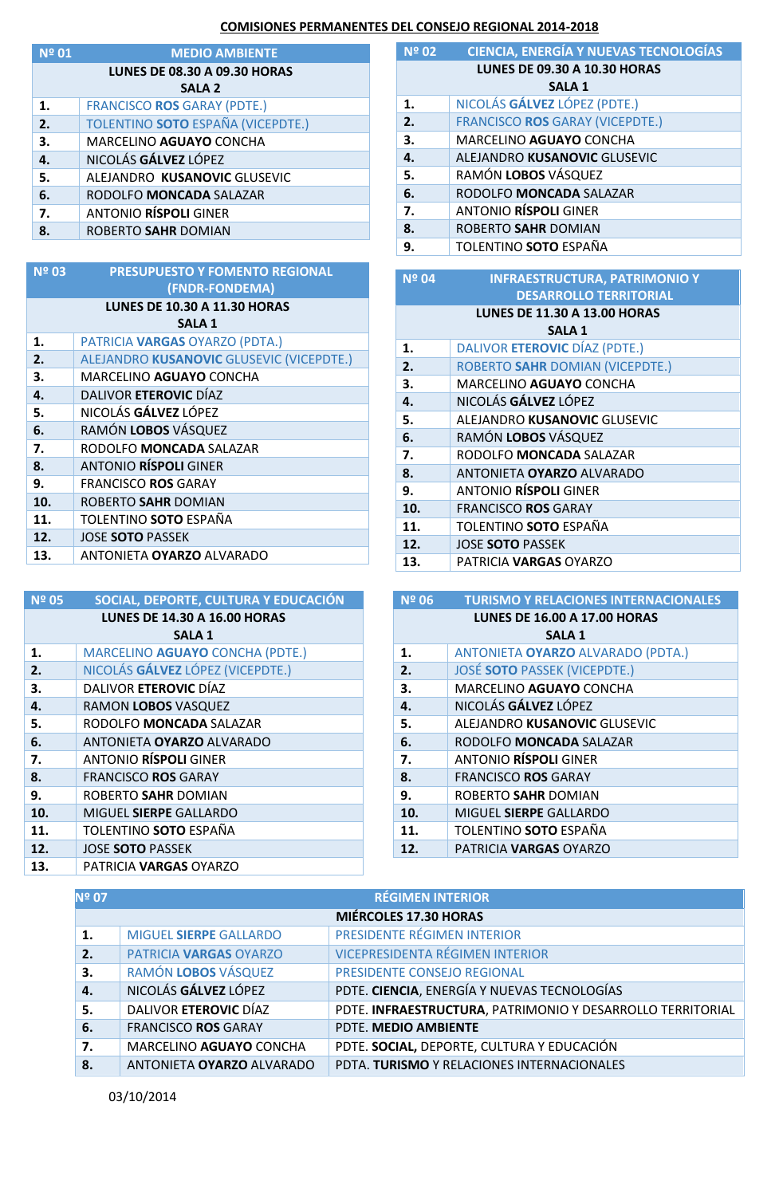## **COMISIONES PERMANENTES DEL CONSEJO REGIONAL 2014-2018**

| Nº 01         | <b>MEDIO AMBIENTE</b>               |  |  |
|---------------|-------------------------------------|--|--|
|               | <b>LUNES DE 08.30 A 09.30 HORAS</b> |  |  |
| <b>SALA 2</b> |                                     |  |  |
| 1.            | <b>FRANCISCO ROS GARAY (PDTE.)</b>  |  |  |
| 2.            | TOLENTINO SOTO ESPAÑA (VICEPDTE.)   |  |  |
| 3.            | MARCELINO AGUAYO CONCHA             |  |  |
| 4.            | NICOLÁS GÁLVEZ LÓPEZ                |  |  |
| 5.            | ALEJANDRO KUSANOVIC GLUSEVIC        |  |  |
| 6.            | RODOLFO MONCADA SALAZAR             |  |  |
| 7.            | <b>ANTONIO RÍSPOLI GINER</b>        |  |  |
| 8.            | ROBERTO SAHR DOMIAN                 |  |  |
|               |                                     |  |  |

| Nº 03                               | <b>PRESUPUESTO Y FOMENTO REGIONAL</b>    |  |  |
|-------------------------------------|------------------------------------------|--|--|
|                                     | (FNDR-FONDEMA)                           |  |  |
| <b>LUNES DE 10.30 A 11.30 HORAS</b> |                                          |  |  |
| <b>SALA 1</b>                       |                                          |  |  |
| 1.                                  | PATRICIA VARGAS OYARZO (PDTA.)           |  |  |
| 2.                                  | ALEJANDRO KUSANOVIC GLUSEVIC (VICEPDTE.) |  |  |
| 3.                                  | MARCELINO AGUAYO CONCHA                  |  |  |
| 4.                                  | DALIVOR ETEROVIC DÍAZ                    |  |  |
| 5.                                  | NICOLÁS GÁLVEZ LÓPEZ                     |  |  |
| 6.                                  | RAMÓN LOBOS VÁSQUEZ                      |  |  |
| 7.                                  | RODOLFO MONCADA SALAZAR                  |  |  |
| 8.                                  | <b>ANTONIO RÍSPOLI GINER</b>             |  |  |
| 9.                                  | <b>FRANCISCO ROS GARAY</b>               |  |  |
| 10.                                 | ROBERTO SAHR DOMIAN                      |  |  |
| 11.                                 | TOLENTINO <b>SOTO</b> ESPAÑA             |  |  |
| 12.                                 | <b>JOSE SOTO PASSEK</b>                  |  |  |
| 13.                                 | ANTONIETA <b>OYARZO</b> ALVARADO         |  |  |

| <b>Nº 05</b>                        | SOCIAL, DEPORTE, CULTURA Y EDUCACIÓN |  |  |  |
|-------------------------------------|--------------------------------------|--|--|--|
| <b>LUNES DE 14.30 A 16.00 HORAS</b> |                                      |  |  |  |
| <b>SALA 1</b>                       |                                      |  |  |  |
| 1.                                  | MARCELINO AGUAYO CONCHA (PDTE.)      |  |  |  |
| 2.                                  | NICOLÁS GÁLVEZ LÓPEZ (VICEPDTE.)     |  |  |  |
| 3.                                  | DALIVOR ETEROVIC DÍAZ                |  |  |  |
| 4.                                  | RAMON LOBOS VASQUEZ                  |  |  |  |
| 5.                                  | RODOLFO MONCADA SALAZAR              |  |  |  |
| 6.                                  | ANTONIETA OYARZO ALVARADO            |  |  |  |
| 7.                                  | <b>ANTONIO RÍSPOLI GINER</b>         |  |  |  |
| 8.                                  | <b>FRANCISCO ROS GARAY</b>           |  |  |  |
| 9.                                  | ROBERTO SAHR DOMIAN                  |  |  |  |
| 10.                                 | MIGUEL SIERPE GALLARDO               |  |  |  |
| 11.                                 | TOLENTINO SOTO ESPAÑA                |  |  |  |
| 12.                                 | <b>JOSE SOTO PASSEK</b>              |  |  |  |
| 13.                                 | PATRICIA <b>VARGAS</b> OYARZO        |  |  |  |

| Nº 02                               | <b>CIENCIA, ENERGÍA Y NUEVAS TECNOLOGÍAS</b> |  |  |
|-------------------------------------|----------------------------------------------|--|--|
| <b>LUNES DE 09.30 A 10.30 HORAS</b> |                                              |  |  |
| <b>SALA 1</b>                       |                                              |  |  |
| 1.                                  | NICOLÁS GÁLVEZ LÓPEZ (PDTE.)                 |  |  |
| 2.                                  | <b>FRANCISCO ROS GARAY (VICEPDTE.)</b>       |  |  |
| 3.                                  | <b>MARCELINO AGUAYO CONCHA</b>               |  |  |
| 4.                                  | ALEJANDRO KUSANOVIC GLUSEVIC                 |  |  |
| 5.                                  | RAMÓN LOBOS VÁSQUEZ                          |  |  |
| 6.                                  | RODOLFO MONCADA SALAZAR                      |  |  |
| 7.                                  | <b>ANTONIO RÍSPOLI GINER</b>                 |  |  |
| 8.                                  | ROBERTO SAHR DOMIAN                          |  |  |
| 9.                                  | TOLENTINO SOTO ESPAÑA                        |  |  |

| <b>Nº 04</b>                        | <b>INFRAESTRUCTURA, PATRIMONIO Y</b> |  |
|-------------------------------------|--------------------------------------|--|
|                                     | <b>DESARROLLO TERRITORIAL</b>        |  |
| <b>LUNES DE 11.30 A 13.00 HORAS</b> |                                      |  |
| <b>SALA 1</b>                       |                                      |  |
| 1.                                  | DALIVOR ETEROVIC DÍAZ (PDTE.)        |  |
| 2.                                  | ROBERTO SAHR DOMIAN (VICEPDTE.)      |  |
| 3.                                  | MARCELINO AGUAYO CONCHA              |  |
| 4.                                  | NICOLÁS GÁLVEZ LÓPEZ                 |  |
| 5.                                  | ALEJANDRO KUSANOVIC GLUSEVIC         |  |
| 6.                                  | RAMÓN LOBOS VÁSQUEZ                  |  |
| 7.                                  | RODOLFO MONCADA SALAZAR              |  |
| 8.                                  | ANTONIETA OYARZO ALVARADO            |  |
| 9.                                  | <b>ANTONIO RÍSPOLI GINER</b>         |  |
| 10.                                 | <b>FRANCISCO ROS GARAY</b>           |  |
| 11.                                 | TOLENTINO SOTO ESPAÑA                |  |
| 12.                                 | <b>JOSE SOTO PASSEK</b>              |  |
| 13.                                 | PATRICIA <b>VARGAS</b> OYARZO        |  |

| <b>Nº 06</b>                        | <b>TURISMO Y RELACIONES INTERNACIONALES</b> |  |
|-------------------------------------|---------------------------------------------|--|
| <b>LUNES DE 16.00 A 17.00 HORAS</b> |                                             |  |
| <b>SALA 1</b>                       |                                             |  |
| 1.                                  | ANTONIETA OYARZO ALVARADO (PDTA.)           |  |
| 2.                                  | <b>JOSÉ SOTO PASSEK (VICEPDTE.)</b>         |  |
| 3.                                  | <b>MARCELINO AGUAYO CONCHA</b>              |  |
| 4.                                  | NICOLÁS GÁLVEZ LÓPEZ                        |  |
| 5.                                  | ALEJANDRO KUSANOVIC GLUSEVIC                |  |
| 6.                                  | RODOLFO MONCADA SALAZAR                     |  |
| 7.                                  | <b>ANTONIO RÍSPOLI GINER</b>                |  |
| 8.                                  | <b>FRANCISCO ROS GARAY</b>                  |  |
| 9.                                  | ROBERTO SAHR DOMIAN                         |  |
| 10.                                 | MIGUEL SIERPE GALLARDO                      |  |
| 11.                                 | TOLENTINO SOTO ESPAÑA                       |  |
| 12.                                 | PATRICIA VARGAS OYARZO                      |  |

| <b>Nº 07</b> | <b>RÉGIMEN INTERIOR</b>      |                                                            |  |  |  |
|--------------|------------------------------|------------------------------------------------------------|--|--|--|
|              | <b>MIÉRCOLES 17.30 HORAS</b> |                                                            |  |  |  |
| 1.           | MIGUEL SIERPE GALLARDO       | PRESIDENTE RÉGIMEN INTERIOR                                |  |  |  |
| 2.           | PATRICIA VARGAS OYARZO       | <b>VICEPRESIDENTA RÉGIMEN INTERIOR</b>                     |  |  |  |
| 3.           | RAMÓN LOBOS VÁSQUEZ          | PRESIDENTE CONSEJO REGIONAL                                |  |  |  |
| 4.           | NICOLÁS GÁLVEZ LÓPEZ         | PDTE. CIENCIA, ENERGÍA Y NUEVAS TECNOLOGÍAS                |  |  |  |
| 5.           | DALIVOR ETEROVIC DÍAZ        | PDTE. INFRAESTRUCTURA, PATRIMONIO Y DESARROLLO TERRITORIAL |  |  |  |
| 6.           | <b>FRANCISCO ROS GARAY</b>   | PDTE. MEDIO AMBIENTE                                       |  |  |  |
| 7.           | MARCELINO AGUAYO CONCHA      | PDTE. SOCIAL, DEPORTE, CULTURA Y EDUCACIÓN                 |  |  |  |
| 8.           | ANTONIETA OYARZO ALVARADO    | PDTA. TURISMO Y RELACIONES INTERNACIONALES                 |  |  |  |